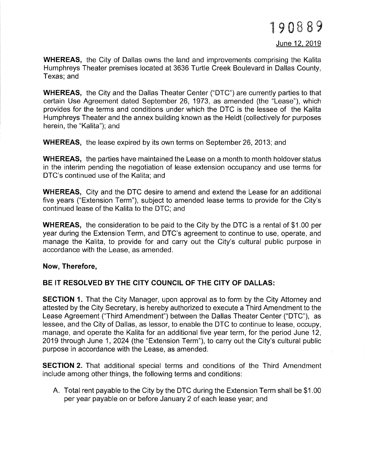WHEREAS, the City of Dallas owns the land and improvements comprising the Kalita Humphreys Theater premises located at 3636 Turtle Creek Boulevard in Dallas County, Texas; and

WHEREAS, the City and the Dallas Theater Center ("DTC") are currently parties to that certain Use Agreement dated September 26, 1973, as amended (the "Lease"), which provides for the terms and conditions under which the DTC is the lessee of the Kalita Humphreys Theater and the annex building known as the Heldt (collectively for purposes herein, the "Kalita"); and

WHEREAS, the lease expired by its own terms on September 26, 2013; and

WHEREAS, the parties have maintained the Lease on a month to month holdover status in the interim pending the negotiation of lease extension occupancy and use terms for DTC's continued use of the Kalita; and

WHEREAS, City and the DTC desire to amend and extend the Lease for an additional five years ("Extension Term"), subject to amended lease terms to provide for the City's continued lease of the Kalita to the DTC; and

WHEREAS, the consideration to be paid to the City by the DTC is a rental of \$1.00 per year during the Extension Term, and DTC's agreement to continue to use, operate, and manage the Kalita, to provide for and carry out the City's cultural public purpose in accordance with the Lease, as amended.

## Now, Therefore,

## BE IT RESOLVED BY THE CITY COUNCIL OF THE CITY OF DALLAS:

**SECTION 1.** That the City Manager, upon approval as to form by the City Attorney and attested by the City Secretary, is hereby authorized to execute a Third Amendment to the Lease Agreement ("Third Amendment") between the Dallas Theater Center ("DTC"), as lessee, and the City of Dallas, as lessor, to enable the DTC to continue to lease, occupy, manage, and operate the Kalita for an additional five year term, for the period June 12, 2019 through June 1,2024 (the "Extension Term"), to carry out the City's cultural public purpose in accordance with the Lease, as amended.

**SECTION 2.** That additional special terms and conditions of the Third Amendment include among other things, the following terms and conditions:

A. Total rent payable to the City by the DTC during the Extension Term shall be \$t.OO per year payable on or before January 2 of each lease year; and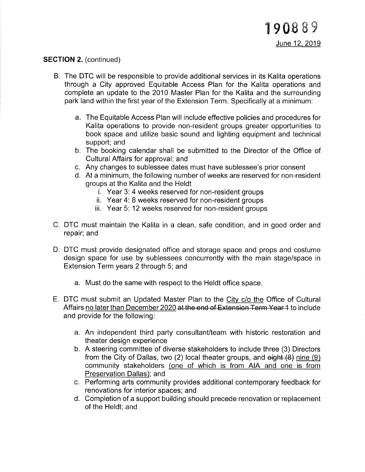## SECTION 2. (continued)

- B. The DTC will be responsible to provide additional services in its Kalita operations through a City approved Equitable Access Plan for the Kalita operations and complete an update to the 2010 Master Plan for the Kalita and the surrounding park land within the first year of the Extension Term. Specifically at a minimum:
	- a. The Equitable Access Plan will include effective policies and procedures for Kalita operations to provide non-resident groups greater opportunities to book space and utilize basic sound and lighting equipment and technical support; and
	- b. The booking calendar shall be submitted to the Director of the Office of Cultural Affairs for approval; and
	- c. Any changes to sublessee dates must have sublessee's prior consent
	- d. At a minimum, the following number of weeks are reserved for non-resident groups at the Kalita and the Heldt
		- i. Year 3: 4 weeks reserved for non-resident groups
		- ii. Year 4: 8 weeks reserved for non-resident groups
		- iii. Year 5: 12 weeks reserved for non-resident groups
- C. DTC must maintain the Kalita in a clean, safe condition, and in good order and repair; and
- D. DTC must provide designated office and storage space and props and costume design space for use by sublessees concurrently with the main stage/space in Extension Term years 2 through 5; and
	- a. Must do the same with respect to the Heldt office space.
- E. DTC must submit an Updated Master Plan to the City c/o the Office of Cultural Affairs no later than December 2020 at the end of Extension Term Year 4 to include and provide for the following:
	- a. An independent third party consultanVteam with historic restoration and theater design experience
	- b. A steering committee of diverse stakeholders to include three (3) Directors from the City of Dallas, two (2) local theater groups, and  $\theta$  eight (8) nine (9) community stakeholders (one of which is from AIA and one is from Preservation Dallas); and
	- c. Performing arts community provides additional contemporary feedback for renovations for interior spaces; and
	- d. Completion of a support building should precede renovation or replacement of the Heldt; and